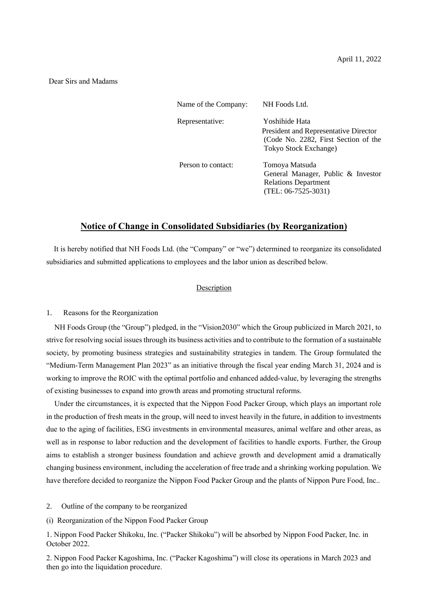#### Dear Sirs and Madams

| Name of the Company: | NH Foods Ltd.                                                                                                            |
|----------------------|--------------------------------------------------------------------------------------------------------------------------|
| Representative:      | Yoshihide Hata<br>President and Representative Director<br>(Code No. 2282, First Section of the<br>Tokyo Stock Exchange) |
| Person to contact:   | Tomoya Matsuda<br>General Manager, Public & Investor<br><b>Relations Department</b><br>$(TEL: 06-7525-3031)$             |

# **Notice of Change in Consolidated Subsidiaries (by Reorganization)**

It is hereby notified that NH Foods Ltd. (the "Company" or "we") determined to reorganize its consolidated subsidiaries and submitted applications to employees and the labor union as described below.

## Description

#### 1. Reasons for the Reorganization

NH Foods Group (the "Group") pledged, in the "Vision2030" which the Group publicized in March 2021, to strive for resolving social issues through its business activities and to contribute to the formation of a sustainable society, by promoting business strategies and sustainability strategies in tandem. The Group formulated the "Medium-Term Management Plan 2023" as an initiative through the fiscal year ending March 31, 2024 and is working to improve the ROIC with the optimal portfolio and enhanced added-value, by leveraging the strengths of existing businesses to expand into growth areas and promoting structural reforms.

Under the circumstances, it is expected that the Nippon Food Packer Group, which plays an important role in the production of fresh meats in the group, will need to invest heavily in the future, in addition to investments due to the aging of facilities, ESG investments in environmental measures, animal welfare and other areas, as well as in response to labor reduction and the development of facilities to handle exports. Further, the Group aims to establish a stronger business foundation and achieve growth and development amid a dramatically changing business environment, including the acceleration of free trade and a shrinking working population. We have therefore decided to reorganize the Nippon Food Packer Group and the plants of Nippon Pure Food, Inc..

2. Outline of the company to be reorganized

(i) Reorganization of the Nippon Food Packer Group

1. Nippon Food Packer Shikoku, Inc. ("Packer Shikoku") will be absorbed by Nippon Food Packer, Inc. in October 2022.

2. Nippon Food Packer Kagoshima, Inc. ("Packer Kagoshima") will close its operations in March 2023 and then go into the liquidation procedure.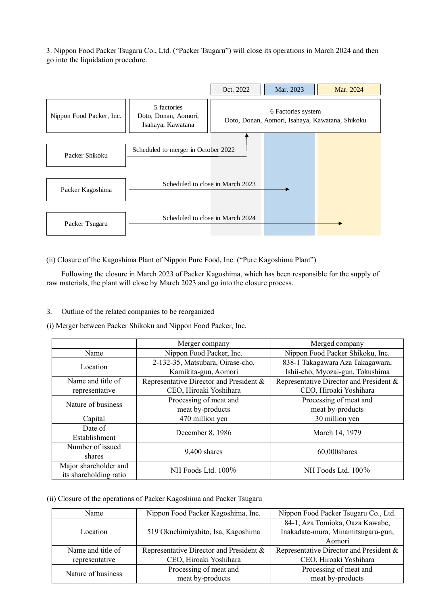3. Nippon Food Packer Tsugaru Co., Ltd. ("Packer Tsugaru") will close its operations in March 2024 and then go into the liquidation procedure.



## 3. Outline of the related companies to be reorganized

| Packer Shikoku                                  | Scheduled to merger in October 2022                                                                                                                                                        |                                                                      |  |
|-------------------------------------------------|--------------------------------------------------------------------------------------------------------------------------------------------------------------------------------------------|----------------------------------------------------------------------|--|
|                                                 |                                                                                                                                                                                            |                                                                      |  |
| Packer Kagoshima                                | Scheduled to close in March 2023                                                                                                                                                           |                                                                      |  |
|                                                 | Scheduled to close in March 2024                                                                                                                                                           |                                                                      |  |
| Packer Tsugaru                                  |                                                                                                                                                                                            |                                                                      |  |
|                                                 |                                                                                                                                                                                            |                                                                      |  |
|                                                 | ii) Closure of the Kagoshima Plant of Nippon Pure Food, Inc. ("Pure Kagoshima Plant")                                                                                                      |                                                                      |  |
|                                                 | Following the closure in March 2023 of Packer Kagoshima, which has been responsible for the supply of<br>aw materials, the plant will close by March 2023 and go into the closure process. |                                                                      |  |
|                                                 |                                                                                                                                                                                            |                                                                      |  |
|                                                 |                                                                                                                                                                                            |                                                                      |  |
|                                                 | Outline of the related companies to be reorganized                                                                                                                                         |                                                                      |  |
|                                                 | i) Merger between Packer Shikoku and Nippon Food Packer, Inc.                                                                                                                              |                                                                      |  |
|                                                 | Merger company                                                                                                                                                                             | Merged company                                                       |  |
| Name                                            | Nippon Food Packer, Inc.                                                                                                                                                                   | Nippon Food Packer Shikoku, Inc.                                     |  |
| Location                                        | 2-132-35, Matsubara, Oirase-cho,<br>Kamikita-gun, Aomori                                                                                                                                   | 838-1 Takagawara Aza Takagawara,<br>Ishii-cho, Myozai-gun, Tokushima |  |
| Name and title of<br>representative             | Representative Director and President &<br>CEO, Hiroaki Yoshihara                                                                                                                          | Representative Director and President &<br>CEO, Hiroaki Yoshihara    |  |
| Nature of business                              | Processing of meat and<br>meat by-products                                                                                                                                                 | Processing of meat and<br>meat by-products                           |  |
| Capital                                         | 470 million yen                                                                                                                                                                            | 30 million yen                                                       |  |
| Date of<br>Establishment                        | December 8, 1986                                                                                                                                                                           | March 14, 1979                                                       |  |
| Number of issued<br>shares                      | 9,400 shares                                                                                                                                                                               | 60,000shares                                                         |  |
| Major shareholder and<br>its shareholding ratio | NH Foods Ltd. 100%                                                                                                                                                                         | NH Foods Ltd. 100%                                                   |  |
|                                                 |                                                                                                                                                                                            |                                                                      |  |
|                                                 | ii) Closure of the operations of Packer Kagoshima and Packer Tsugaru                                                                                                                       |                                                                      |  |
| Name                                            | Nippon Food Packer Kagoshima, Inc.                                                                                                                                                         | Nippon Food Packer Tsugaru Co., Ltd.                                 |  |
|                                                 |                                                                                                                                                                                            | 84-1, Aza Tomioka, Oaza Kawabe,                                      |  |
| Location                                        | 519 Okuchimiyahito, Isa, Kagoshima                                                                                                                                                         | Inakadate-mura, Minamitsugaru-gun,<br>Aomori                         |  |
| Name and title of                               | Representative Director and President &                                                                                                                                                    | Representative Director and President &                              |  |
| representative                                  | CEO, Hiroaki Yoshihara                                                                                                                                                                     | CEO, Hiroaki Yoshihara                                               |  |
|                                                 | Processing of meat and                                                                                                                                                                     | Processing of meat and                                               |  |
| Nature of business                              | meat by-products                                                                                                                                                                           | meat by-products                                                     |  |

| Name               | Nippon Food Packer Kagoshima, Inc.      | Nippon Food Packer Tsugaru Co., Ltd.    |
|--------------------|-----------------------------------------|-----------------------------------------|
| Location           |                                         | 84-1, Aza Tomioka, Oaza Kawabe,         |
|                    | 519 Okuchimiyahito, Isa, Kagoshima      | Inakadate-mura, Minamitsugaru-gun,      |
|                    |                                         | Aomori                                  |
| Name and title of  | Representative Director and President & | Representative Director and President & |
| representative     | CEO, Hiroaki Yoshihara                  | CEO, Hiroaki Yoshihara                  |
| Nature of business | Processing of meat and                  | Processing of meat and                  |
|                    | meat by-products                        | meat by-products                        |